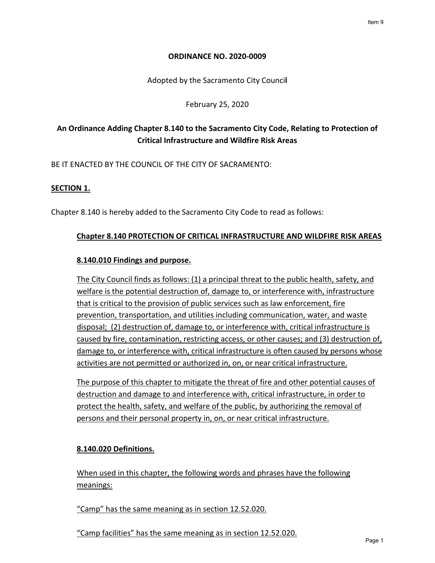### **ORDINANCE NO. 2020-0009**

Adopted by the Sacramento City Counci**l** 

February 25, 2020

# **An Ordinance Adding Chapter 8.140 to the Sacramento City Code, Relating to Protection of Critical Infrastructure and Wildfire Risk Areas**

BE IT ENACTED BY THE COUNCIL OF THE CITY OF SACRAMENTO:

## **SECTION 1.**

Chapter 8.140 is hereby added to the Sacramento City Code to read as follows:

### **Chapter 8.140 PROTECTION OF CRITICAL INFRASTRUCTURE AND WILDFIRE RISK AREAS**

### **8.140.010 Findings and purpose.**

The City Council finds as follows: (1) a principal threat to the public health, safety, and welfare is the potential destruction of, damage to, or interference with, infrastructure that is critical to the provision of public services such as law enforcement, fire prevention, transportation, and utilities including communication, water, and waste disposal; (2) destruction of, damage to, or interference with, critical infrastructure is caused by fire, contamination, restricting access, or other causes; and (3) destruction of, damage to, or interference with, critical infrastructure is often caused by persons whose activities are not permitted or authorized in, on, or near critical infrastructure.

The purpose of this chapter to mitigate the threat of fire and other potential causes of destruction and damage to and interference with, critical infrastructure, in order to protect the health, safety, and welfare of the public, by authorizing the removal of persons and their personal property in, on, or near critical infrastructure.

## **8.140.020 Definitions.**

When used in this chapter, the following words and phrases have the following meanings:

"Camp" has the same meaning as in section 12.52.020.

"Camp facilities" has the same meaning as in section 12.52.020.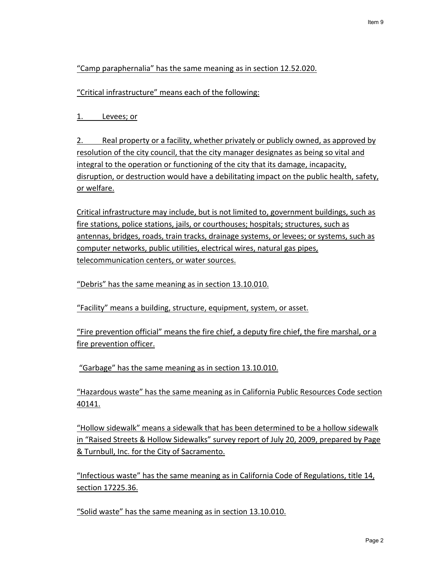# "Camp paraphernalia" has the same meaning as in section 12.52.020.

"Critical infrastructure" means each of the following:

1. Levees; or

2. Real property or a facility, whether privately or publicly owned, as approved by resolution of the city council, that the city manager designates as being so vital and integral to the operation or functioning of the city that its damage, incapacity, disruption, or destruction would have a debilitating impact on the public health, safety, or welfare.

Critical infrastructure may include, but is not limited to, government buildings, such as fire stations, police stations, jails, or courthouses; hospitals; structures, such as antennas, bridges, roads, train tracks, drainage systems, or levees; or systems, such as computer networks, public utilities, electrical wires, natural gas pipes, telecommunication centers, or water sources.

"Debris" has the same meaning as in section 13.10.010.

"Facility" means a building, structure, equipment, system, or asset.

"Fire prevention official" means the fire chief, a deputy fire chief, the fire marshal, or a fire prevention officer.

"Garbage" has the same meaning as in section 13.10.010.

"Hazardous waste" has the same meaning as in California Public Resources Code section 40141.

"Hollow sidewalk" means a sidewalk that has been determined to be a hollow sidewalk in "Raised Streets & Hollow Sidewalks" survey report of July 20, 2009, prepared by Page & Turnbull, Inc. for the City of Sacramento.

"Infectious waste" has the same meaning as in California Code of Regulations, title 14, section 17225.36.

"Solid waste" has the same meaning as in section 13.10.010.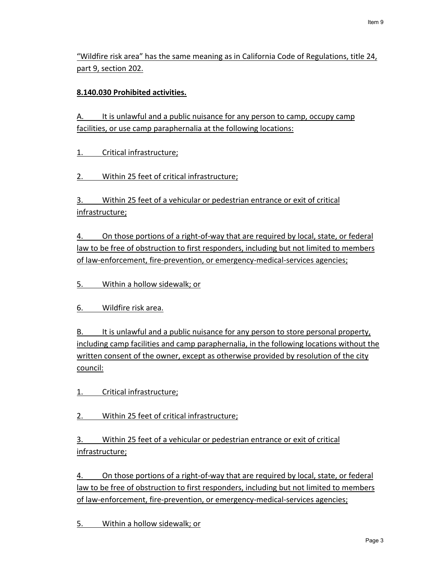"Wildfire risk area" has the same meaning as in California Code of Regulations, title 24, part 9, section 202.

# **8.140.030 Prohibited activities.**

A. It is unlawful and a public nuisance for any person to camp, occupy camp facilities, or use camp paraphernalia at the following locations:

1. Critical infrastructure;

2. Within 25 feet of critical infrastructure;

3. Within 25 feet of a vehicular or pedestrian entrance or exit of critical infrastructure;

4. On those portions of a right-of-way that are required by local, state, or federal law to be free of obstruction to first responders, including but not limited to members of law-enforcement, fire-prevention, or emergency-medical-services agencies;

5. Within a hollow sidewalk; or

6. Wildfire risk area.

B. It is unlawful and a public nuisance for any person to store personal property, including camp facilities and camp paraphernalia, in the following locations without the written consent of the owner, except as otherwise provided by resolution of the city council:

- 1. Critical infrastructure;
- 2. Within 25 feet of critical infrastructure;

3. Within 25 feet of a vehicular or pedestrian entrance or exit of critical infrastructure;

4. On those portions of a right-of-way that are required by local, state, or federal law to be free of obstruction to first responders, including but not limited to members of law-enforcement, fire-prevention, or emergency-medical-services agencies;

5. Within a hollow sidewalk; or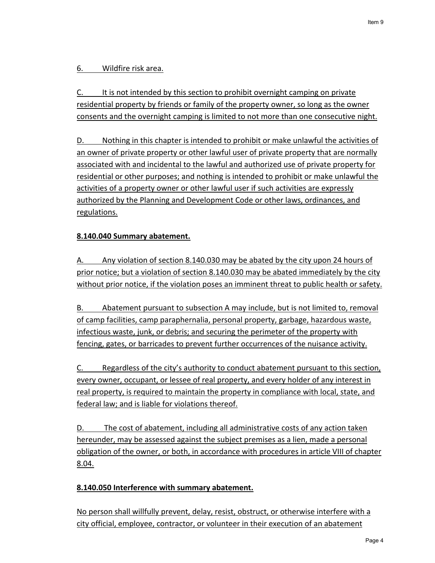# 6. Wildfire risk area.

C. It is not intended by this section to prohibit overnight camping on private residential property by friends or family of the property owner, so long as the owner consents and the overnight camping is limited to not more than one consecutive night.

D. Nothing in this chapter is intended to prohibit or make unlawful the activities of an owner of private property or other lawful user of private property that are normally associated with and incidental to the lawful and authorized use of private property for residential or other purposes; and nothing is intended to prohibit or make unlawful the activities of a property owner or other lawful user if such activities are expressly authorized by the Planning and Development Code or other laws, ordinances, and regulations.

# **8.140.040 Summary abatement.**

A. Any violation of section 8.140.030 may be abated by the city upon 24 hours of prior notice; but a violation of section 8.140.030 may be abated immediately by the city without prior notice, if the violation poses an imminent threat to public health or safety.

B. Abatement pursuant to subsection A may include, but is not limited to, removal of camp facilities, camp paraphernalia, personal property, garbage, hazardous waste, infectious waste, junk, or debris; and securing the perimeter of the property with fencing, gates, or barricades to prevent further occurrences of the nuisance activity.

C. Regardless of the city's authority to conduct abatement pursuant to this section, every owner, occupant, or lessee of real property, and every holder of any interest in real property, is required to maintain the property in compliance with local, state, and federal law; and is liable for violations thereof.

D. The cost of abatement, including all administrative costs of any action taken hereunder, may be assessed against the subject premises as a lien, made a personal obligation of the owner, or both, in accordance with procedures in article VIII of chapter 8.04.

## **8.140.050 Interference with summary abatement.**

No person shall willfully prevent, delay, resist, obstruct, or otherwise interfere with a city official, employee, contractor, or volunteer in their execution of an abatement